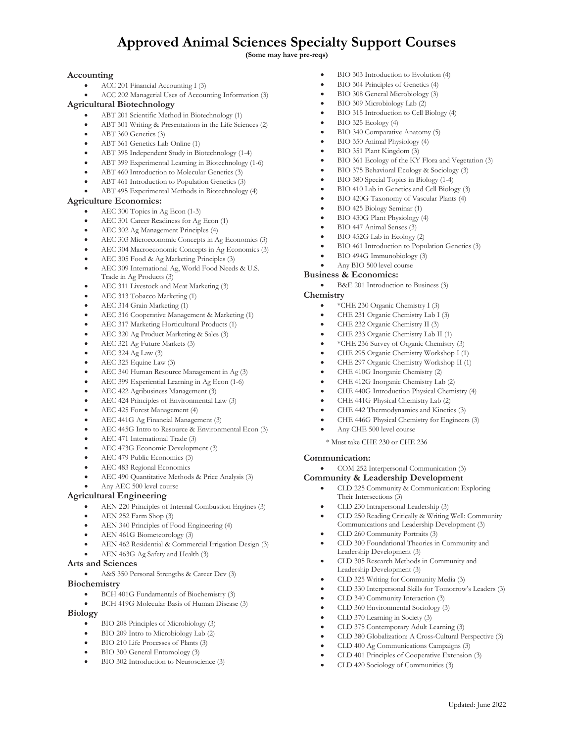## **Approved Animal Sciences Specialty Support Courses**

**(Some may have pre-reqs)**

## **Accounting**

- ACC 201 Financial Accounting I (3)
- ACC 202 Managerial Uses of Accounting Information (3)

## **Agricultural Biotechnology**

- ABT 201 Scientific Method in Biotechnology (1)
- ABT 301 Writing & Presentations in the Life Sciences (2)
- ABT 360 Genetics (3)
- ABT 361 Genetics Lab Online (1)
- ABT 395 Independent Study in Biotechnology (1-4)
- ABT 399 Experimental Learning in Biotechnology (1-6)
- ABT 460 Introduction to Molecular Genetics (3)
- ABT 461 Introduction to Population Genetics (3)
- ABT 495 Experimental Methods in Biotechnology (4)

#### **Agriculture Economics:**

- AEC 300 Topics in Ag Econ (1-3)
- AEC 301 Career Readiness for Ag Econ (1)
- AEC 302 Ag Management Principles (4)
- AEC 303 Microeconomic Concepts in Ag Economics (3)
- AEC 304 Macroeconomic Concepts in Ag Economics (3)
- AEC 305 Food & Ag Marketing Principles (3)
- AEC 309 International Ag, World Food Needs & U.S. Trade in Ag Products (3)
- AEC 311 Livestock and Meat Marketing (3)
- AEC 313 Tobacco Marketing (1)
- AEC 314 Grain Marketing (1)
- AEC 316 Cooperative Management & Marketing (1)
- AEC 317 Marketing Horticultural Products (1)
- AEC 320 Ag Product Marketing & Sales (3)
- AEC 321 Ag Future Markets (3)
- AEC 324 Ag Law (3)
- AEC 325 Equine Law (3)
- AEC 340 Human Resource Management in Ag (3)
- AEC 399 Experiential Learning in Ag Econ (1-6)
- AEC 422 Agribusiness Management (3)
- AEC 424 Principles of Environmental Law (3)
- AEC 425 Forest Management (4)
- AEC 441G Ag Financial Management (3)
- AEC 445G Intro to Resource & Environmental Econ (3)
- AEC 471 International Trade (3)
- AEC 473G Economic Development (3)
- AEC 479 Public Economics (3)
- AEC 483 Regional Economics
- AEC 490 Quantitative Methods & Price Analysis (3)
- Any AEC 500 level course

#### **Agricultural Engineering**

- AEN 220 Principles of Internal Combustion Engines (3)
- AEN 252 Farm Shop (3)
- AEN 340 Principles of Food Engineering (4)
- AEN 461G Biometeorology (3)
- AEN 462 Residential & Commercial Irrigation Design (3)
- AEN 463G Ag Safety and Health (3)

#### **Arts and Sciences**

• A&S 350 Personal Strengths & Career Dev (3)

## **Biochemistry**

- BCH 401G Fundamentals of Biochemistry (3)
- BCH 419G Molecular Basis of Human Disease (3)

#### **Biology**

- BIO 208 Principles of Microbiology (3)
- BIO 209 Intro to Microbiology Lab (2)
- BIO 210 Life Processes of Plants (3)
- BIO 300 General Entomology (3)
- BIO 302 Introduction to Neuroscience (3)
- BIO 303 Introduction to Evolution (4)
- BIO 304 Principles of Genetics (4)
- BIO 308 General Microbiology (3)
- BIO 309 Microbiology Lab (2)
- BIO 315 Introduction to Cell Biology (4)
- $\bullet$  BIO 325 Ecology (4)
- BIO 340 Comparative Anatomy (5)
- BIO 350 Animal Physiology (4)
- BIO 351 Plant Kingdom (3)
- BIO 361 Ecology of the KY Flora and Vegetation (3)
- BIO 375 Behavioral Ecology & Sociology (3)
- BIO 380 Special Topics in Biology (1-4)
- BIO 410 Lab in Genetics and Cell Biology (3)
- BIO 420G Taxonomy of Vascular Plants (4)
- BIO 425 Biology Seminar (1)
- BIO 430G Plant Physiology (4)
- BIO 447 Animal Senses (3)
- BIO 452G Lab in Ecology (2)
- BIO 461 Introduction to Population Genetics (3)
- BIO 494G Immunobiology (3)
- Any BIO 500 level course
- **Business & Economics:**
	- B&E 201 Introduction to Business (3)

#### **Chemistry**

**Communication:**

- \*CHE 230 Organic Chemistry I (3)
- CHE 231 Organic Chemistry Lab I (3)
- CHE 232 Organic Chemistry II (3)
- CHE 233 Organic Chemistry Lab II (1)
- \*CHE 236 Survey of Organic Chemistry (3)
- CHE 295 Organic Chemistry Workshop I (1)
- CHE 297 Organic Chemistry Workshop II (1)
- CHE 410G Inorganic Chemistry (2)
- CHE 412G Inorganic Chemistry Lab (2)
- CHE 440G Introduction Physical Chemistry (4)
- CHE 441G Physical Chemistry Lab (2)
- CHE 442 Thermodynamics and Kinetics (3)

• COM 252 Interpersonal Communication (3) **Community & Leadership Development**

• CLD 230 Intrapersonal Leadership (3)

• CLD 260 Community Portraits (3)

Leadership Development (3)

Leadership Development (3)

• CLD 340 Community Interaction (3) • CLD 360 Environmental Sociology (3) • CLD 370 Learning in Society (3)

Their Intersections (3)

\* Must take CHE 230 or CHE 236

• CLD 225 Community & Communication: Exploring

• CLD 300 Foundational Theories in Community and

• CLD 305 Research Methods in Community and

• CLD 325 Writing for Community Media (3)

• CLD 375 Contemporary Adult Learning (3)

• CLD 400 Ag Communications Campaigns (3) • CLD 401 Principles of Cooperative Extension (3) • CLD 420 Sociology of Communities (3)

• CLD 250 Reading Critically & Writing Well: Community Communications and Leadership Development (3)

• CLD 330 Interpersonal Skills for Tomorrow's Leaders (3)

• CLD 380 Globalization: A Cross-Cultural Perspective (3)

• CHE 446G Physical Chemistry for Engineers (3) • Any CHE 500 level course

Updated: June 2022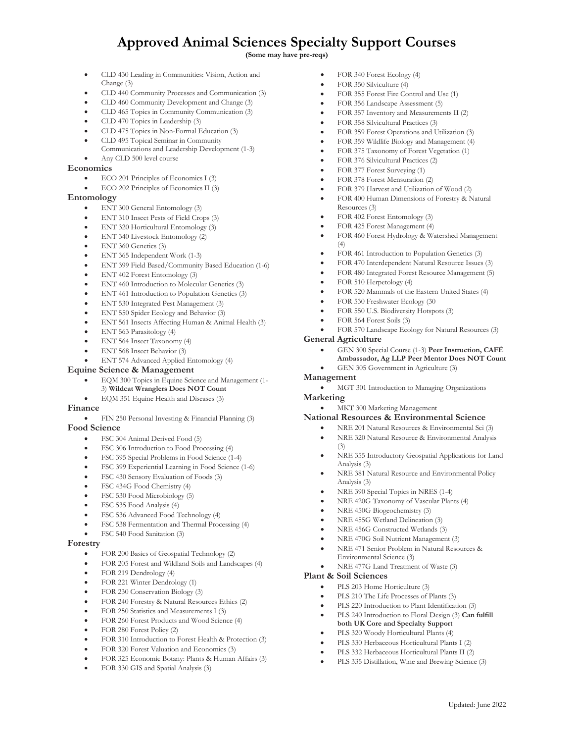# **Approved Animal Sciences Specialty Support Courses**

**(Some may have pre-reqs)**

- CLD 430 Leading in Communities: Vision, Action and Change (3)
- CLD 440 Community Processes and Communication (3)
- CLD 460 Community Development and Change (3)
- CLD 465 Topics in Community Communication (3)
- CLD 470 Topics in Leadership (3)
- CLD 475 Topics in Non-Formal Education (3)
- CLD 495 Topical Seminar in Community Communications and Leadership Development (1-3)
- Any CLD 500 level course

## **Economics**

- ECO 201 Principles of Economics I (3)
- ECO 202 Principles of Economics II (3)

## **Entomology**

- ENT 300 General Entomology (3)
- ENT 310 Insect Pests of Field Crops (3)
- ENT 320 Horticultural Entomology (3)
- ENT 340 Livestock Entomology (2)
- ENT 360 Genetics (3)
- ENT 365 Independent Work (1-3)
- ENT 399 Field Based/Community Based Education (1-6)
- ENT 402 Forest Entomology (3)
- ENT 460 Introduction to Molecular Genetics (3)
- ENT 461 Introduction to Population Genetics (3)
- ENT 530 Integrated Pest Management (3)
- ENT 550 Spider Ecology and Behavior (3)
- ENT 561 Insects Affecting Human & Animal Health (3)
- ENT 563 Parasitology (4)
- ENT 564 Insect Taxonomy (4)
- ENT 568 Insect Behavior (3)
- ENT 574 Advanced Applied Entomology (4)

### **Equine Science & Management**

- EQM 300 Topics in Equine Science and Management (1- 3) **Wildcat Wranglers Does NOT Count**
- EQM 351 Equine Health and Diseases (3)

## **Finance**

• FIN 250 Personal Investing & Financial Planning (3)

## **Food Science**

- FSC 304 Animal Derived Food (5)
- FSC 306 Introduction to Food Processing (4)
- FSC 395 Special Problems in Food Science (1-4)
- FSC 399 Experiential Learning in Food Science (1-6)
- FSC 430 Sensory Evaluation of Foods (3)
- FSC 434G Food Chemistry (4)
- FSC 530 Food Microbiology (5)
- FSC 535 Food Analysis (4)
- FSC 536 Advanced Food Technology (4)
- FSC 538 Fermentation and Thermal Processing (4)
- FSC 540 Food Sanitation (3)

#### **Forestry**

- FOR 200 Basics of Geospatial Technology (2)
- FOR 205 Forest and Wildland Soils and Landscapes (4)
- FOR 219 Dendrology (4)
- FOR 221 Winter Dendrology (1)
- FOR 230 Conservation Biology (3)
- FOR 240 Forestry & Natural Resources Ethics (2)
- FOR 250 Statistics and Measurements I (3)
- FOR 260 Forest Products and Wood Science (4)
- FOR 280 Forest Policy (2)
- FOR 310 Introduction to Forest Health & Protection (3)
- FOR 320 Forest Valuation and Economics (3)
- FOR 325 Economic Botany: Plants & Human Affairs (3)
- FOR 330 GIS and Spatial Analysis (3)
- FOR 340 Forest Ecology (4)
- FOR 350 Silviculture (4)
- FOR 355 Forest Fire Control and Use (1)
- FOR 356 Landscape Assessment (5)
- FOR 357 Inventory and Measurements II (2)
- FOR 358 Silvicultural Practices (3)
- FOR 359 Forest Operations and Utilization (3)
- FOR 359 Wildlife Biology and Management (4)
- FOR 375 Taxonomy of Forest Vegetation (1)
- FOR 376 Silvicultural Practices (2)
- FOR 377 Forest Surveying (1)
- FOR 378 Forest Mensuration (2)
- FOR 379 Harvest and Utilization of Wood (2)
- FOR 400 Human Dimensions of Forestry & Natural Resources (3)
- FOR 402 Forest Entomology (3)
- FOR 425 Forest Management (4)
- FOR 460 Forest Hydrology & Watershed Management (4)
- FOR 461 Introduction to Population Genetics (3)
- FOR 470 Interdependent Natural Resource Issues (3)
- FOR 480 Integrated Forest Resource Management (5)
- FOR 510 Herpetology (4)
- FOR 520 Mammals of the Eastern United States (4)
- FOR 530 Freshwater Ecology (30
- FOR 550 U.S. Biodiversity Hotspots (3)
- FOR 564 Forest Soils (3)
- FOR 570 Landscape Ecology for Natural Resources (3)

#### **General Agriculture**

Analysis (3)

**Plant & Soil Sciences**

- GEN 300 Special Course (1-3) **Peer Instruction, CAFÉ**
- **Ambassador, Ag LLP Peer Mentor Does NOT Count**
- GEN 305 Government in Agriculture (3)

## **Management**

- MGT 301 Introduction to Managing Organizations
- **Marketing**
	- MKT 300 Marketing Management

#### **National Resources & Environmental Science**

• NRE 390 Special Topics in NRES (1-4) • NRE 420G Taxonomy of Vascular Plants (4)

• NRE 477G Land Treatment of Waste (3)

**both UK Core and Specialty Support**  • PLS 320 Woody Horticultural Plants (4)

> • PLS 330 Herbaceous Horticultural Plants I (2) • PLS 332 Herbaceous Horticultural Plants II (2) PLS 335 Distillation, Wine and Brewing Science (3)

• NRE 450G Biogeochemistry (3) • NRE 455G Wetland Delineation (3) • NRE 456G Constructed Wetlands (3) • NRE 470G Soil Nutrient Management (3) • NRE 471 Senior Problem in Natural Resources &

Environmental Science (3)

PLS 203 Home Horticulture (3) PLS 210 The Life Processes of Plants (3) PLS 220 Introduction to Plant Identification (3) • PLS 240 Introduction to Floral Design (3) **Can fulfill** 

- NRE 201 Natural Resources & Environmental Sci (3)
	- NRE 320 Natural Resource & Environmental Analysis (3)
	- NRE 355 Introductory Geospatial Applications for Land Analysis (3) • NRE 381 Natural Resource and Environmental Policy

Updated: June 2022